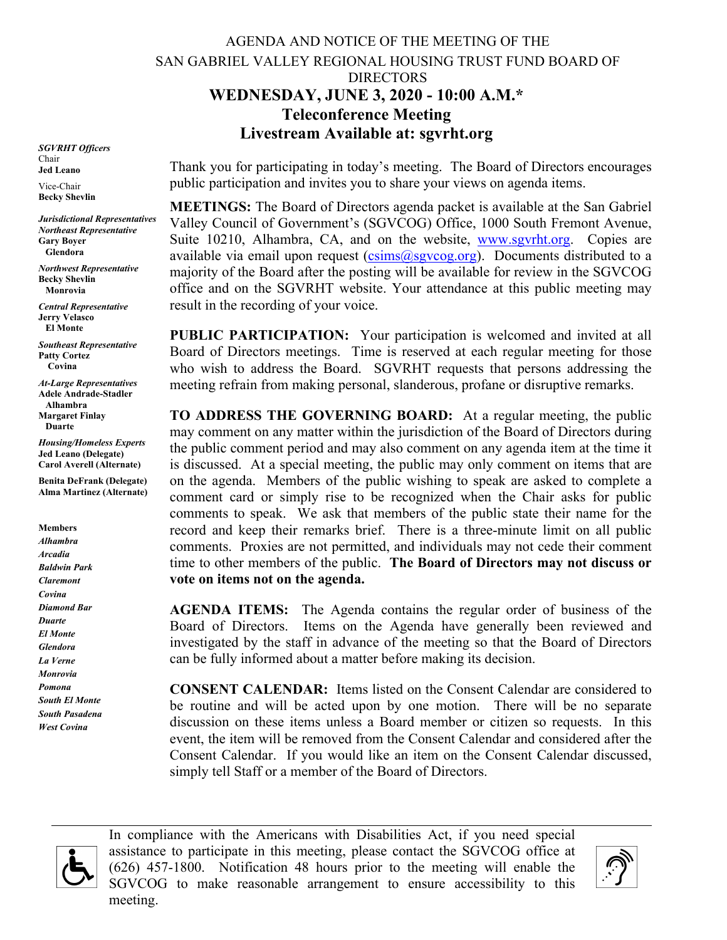## AGENDA AND NOTICE OF THE MEETING OF THE SAN GABRIEL VALLEY REGIONAL HOUSING TRUST FUND BOARD OF DIRECTORS **WEDNESDAY, JUNE 3, 2020 - 10:00 A.M.\* Teleconference Meeting Livestream Available at: sgvrht.org**

*SGVRHT Officers* Chair **Jed Leano**

Vice-Chair **Becky Shevlin**

*Jurisdictional Representatives Northeast Representative* **Gary Boyer Glendora**

*Northwest Representative* **Becky Shevlin Monrovia**

*Central Representative* **Jerry Velasco El Monte**

*Southeast Representative* **Patty Cortez Covina**

*At-Large Representatives* **Adele Andrade-Stadler Alhambra Margaret Finlay Duarte**

*Housing/Homeless Experts* **Jed Leano (Delegate) Carol Averell (Alternate)**

**Benita DeFrank (Delegate) Alma Martinez (Alternate)**

**Members** *Alhambra Arcadia Baldwin Park Claremont Covina Diamond Bar Duarte El Monte Glendora La Verne Monrovia Pomona South El Monte South Pasadena West Covina*

Thank you for participating in today's meeting. The Board of Directors encourages public participation and invites you to share your views on agenda items.

**MEETINGS:** The Board of Directors agenda packet is available at the San Gabriel Valley Council of Government's (SGVCOG) Office, 1000 South Fremont Avenue, Suite 10210, Alhambra, CA, and on the website, [www.sgvrht.org.](http://www.sgvrht.org/) Copies are available via email upon request ( $csims@sgvcog.org$ ). Documents distributed to a majority of the Board after the posting will be available for review in the SGVCOG office and on the SGVRHT website. Your attendance at this public meeting may result in the recording of your voice.

**PUBLIC PARTICIPATION:** Your participation is welcomed and invited at all Board of Directors meetings. Time is reserved at each regular meeting for those who wish to address the Board. SGVRHT requests that persons addressing the meeting refrain from making personal, slanderous, profane or disruptive remarks.

**TO ADDRESS THE GOVERNING BOARD:** At a regular meeting, the public may comment on any matter within the jurisdiction of the Board of Directors during the public comment period and may also comment on any agenda item at the time it is discussed. At a special meeting, the public may only comment on items that are on the agenda. Members of the public wishing to speak are asked to complete a comment card or simply rise to be recognized when the Chair asks for public comments to speak. We ask that members of the public state their name for the record and keep their remarks brief. There is a three-minute limit on all public comments.Proxies are not permitted, and individuals may not cede their comment time to other members of the public. **The Board of Directors may not discuss or vote on items not on the agenda.**

**AGENDA ITEMS:** The Agenda contains the regular order of business of the Board of Directors. Items on the Agenda have generally been reviewed and investigated by the staff in advance of the meeting so that the Board of Directors can be fully informed about a matter before making its decision.

**CONSENT CALENDAR:** Items listed on the Consent Calendar are considered to be routine and will be acted upon by one motion. There will be no separate discussion on these items unless a Board member or citizen so requests. In this event, the item will be removed from the Consent Calendar and considered after the Consent Calendar. If you would like an item on the Consent Calendar discussed, simply tell Staff or a member of the Board of Directors.



In compliance with the Americans with Disabilities Act, if you need special assistance to participate in this meeting, please contact the SGVCOG office at (626) 457-1800. Notification 48 hours prior to the meeting will enable the SGVCOG to make reasonable arrangement to ensure accessibility to this meeting.

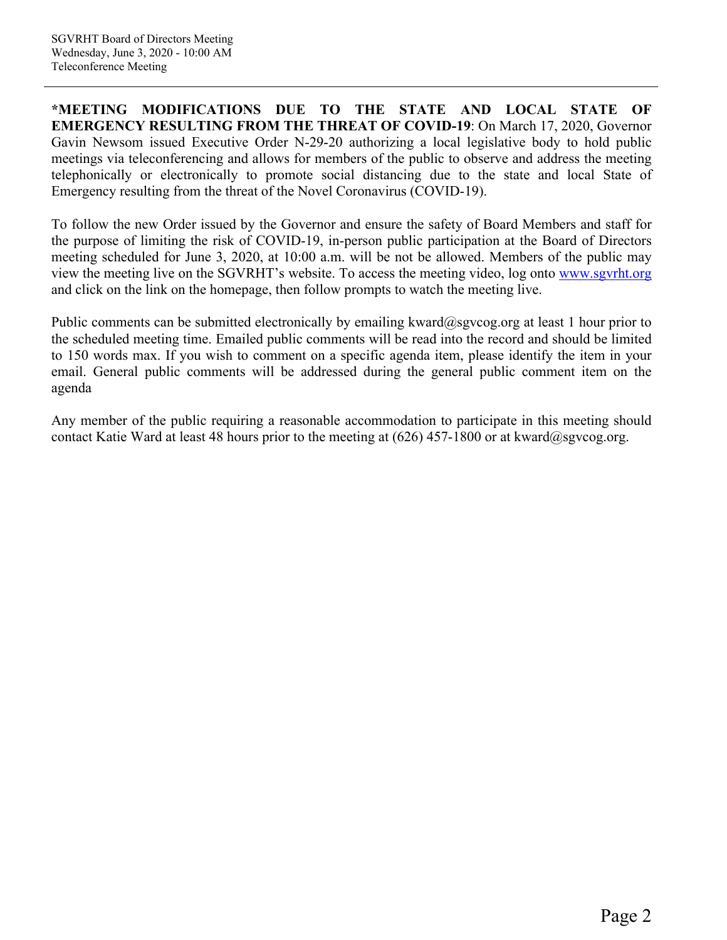**\*MEETING MODIFICATIONS DUE TO THE STATE AND LOCAL STATE OF EMERGENCY RESULTING FROM THE THREAT OF COVID-19**: On March 17, 2020, Governor Gavin Newsom issued Executive Order N-29-20 authorizing a local legislative body to hold public meetings via teleconferencing and allows for members of the public to observe and address the meeting telephonically or electronically to promote social distancing due to the state and local State of Emergency resulting from the threat of the Novel Coronavirus (COVID-19).

To follow the new Order issued by the Governor and ensure the safety of Board Members and staff for the purpose of limiting the risk of COVID-19, in-person public participation at the Board of Directors meeting scheduled for June 3, 2020, at 10:00 a.m. will be not be allowed. Members of the public may view the meeting live on the SGVRHT's website. To access the meeting video, log onto [www.sgvrht.org](http://www.sgvrht.org/) and click on the link on the homepage, then follow prompts to watch the meeting live.

Public comments can be submitted electronically by emailing kward@sgvcog.org at least 1 hour prior to the scheduled meeting time. Emailed public comments will be read into the record and should be limited to 150 words max. If you wish to comment on a specific agenda item, please identify the item in your email. General public comments will be addressed during the general public comment item on the agenda

Any member of the public requiring a reasonable accommodation to participate in this meeting should contact Katie Ward at least 48 hours prior to the meeting at  $(626)$  457-1800 or at kward@sgvcog.org.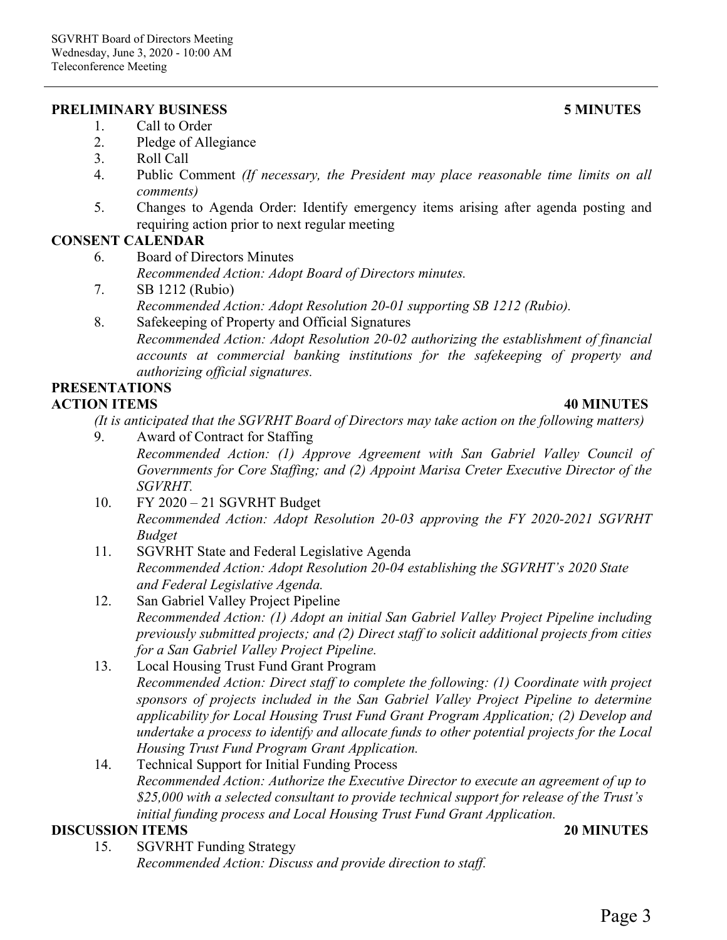### **PRELIMINARY BUSINESS 5 MINUTES**

- 1. Call to Order
- 2. Pledge of Allegiance
- 3. Roll Call
- 4. Public Comment *(If necessary, the President may place reasonable time limits on all comments)*
- 5. Changes to Agenda Order: Identify emergency items arising after agenda posting and requiring action prior to next regular meeting

# **CONSENT CALENDAR**

- 6. Board of Directors Minutes *Recommended Action: Adopt Board of Directors minutes.*
- 7. SB 1212 (Rubio) *Recommended Action: Adopt Resolution 20-01 supporting SB 1212 (Rubio).*
- 8. Safekeeping of Property and Official Signatures *Recommended Action: Adopt Resolution 20-02 authorizing the establishment of financial accounts at commercial banking institutions for the safekeeping of property and authorizing official signatures.*

### **PRESENTATIONS ACTION ITEMS 40 MINUTES**

*(It is anticipated that the SGVRHT Board of Directors may take action on the following matters)*

- 9. Award of Contract for Staffing *Recommended Action: (1) Approve Agreement with San Gabriel Valley Council of Governments for Core Staffing; and (2) Appoint Marisa Creter Executive Director of the SGVRHT.*
- 10. FY 2020 21 SGVRHT Budget *Recommended Action: Adopt Resolution 20-03 approving the FY 2020-2021 SGVRHT Budget*
- 11. SGVRHT State and Federal Legislative Agenda *Recommended Action: Adopt Resolution 20-04 establishing the SGVRHT's 2020 State and Federal Legislative Agenda.*
- 12. San Gabriel Valley Project Pipeline *Recommended Action: (1) Adopt an initial San Gabriel Valley Project Pipeline including previously submitted projects; and (2) Direct staff to solicit additional projects from cities for a San Gabriel Valley Project Pipeline.*
- 13. Local Housing Trust Fund Grant Program *Recommended Action: Direct staff to complete the following: (1) Coordinate with project sponsors of projects included in the San Gabriel Valley Project Pipeline to determine applicability for Local Housing Trust Fund Grant Program Application; (2) Develop and undertake a process to identify and allocate funds to other potential projects for the Local Housing Trust Fund Program Grant Application.*
- 14. Technical Support for Initial Funding Process *Recommended Action: Authorize the Executive Director to execute an agreement of up to \$25,000 with a selected consultant to provide technical support for release of the Trust's initial funding process and Local Housing Trust Fund Grant Application.*

# **DISCUSSION ITEMS 20 MINUTES**

- 
- 15. SGVRHT Funding Strategy *Recommended Action: Discuss and provide direction to staff.*